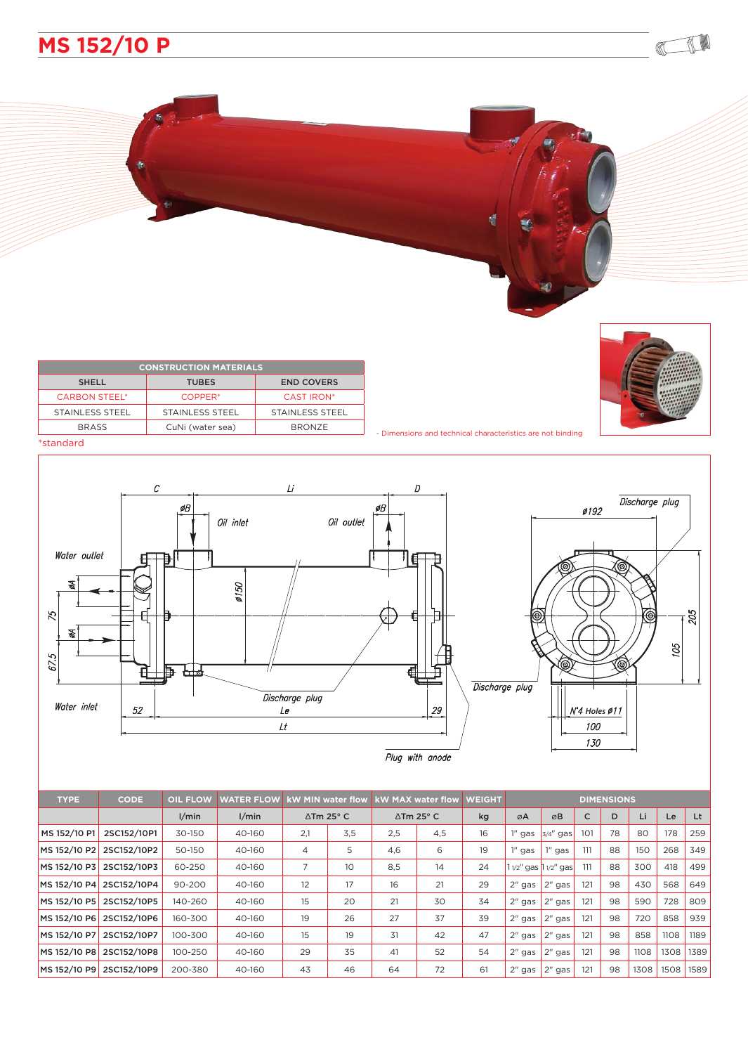## **MS 152/10 P**

| <b>CONSTRUCTION MATERIALS</b> |                     |                   |  |  |  |  |  |  |
|-------------------------------|---------------------|-------------------|--|--|--|--|--|--|
| <b>SHELL</b>                  | <b>TUBES</b>        | <b>END COVERS</b> |  |  |  |  |  |  |
| <b>CARBON STEEL*</b>          | COPPER <sup>*</sup> | CAST IRON*        |  |  |  |  |  |  |
| STAINLESS STEEL               | STAINLESS STEEL     | STAINLESS STEEL   |  |  |  |  |  |  |
| <b>BRASS</b>                  | CuNi (water sea)    | <b>BRONZE</b>     |  |  |  |  |  |  |
| *standard                     |                     |                   |  |  |  |  |  |  |

- Dimensions and technical characteristics are not binding

CO



| <b>TYPE</b>  | <b>CODE</b> | <b>OIL FLOW</b> | <b>WATER FLOW</b> | <b>kW MIN water flow</b>    |     |     | <b>KW MAX water flow WEIGHT</b> |    |           |                       |     | <b>DIMENSIONS</b> |      |      |      |
|--------------|-------------|-----------------|-------------------|-----------------------------|-----|-----|---------------------------------|----|-----------|-----------------------|-----|-------------------|------|------|------|
|              |             | 1/min           | 1/min             | $\Delta$ Tm 25 $^{\circ}$ C |     |     | $\Delta$ Tm 25 $^{\circ}$ C     | kg | ØA        | øΒ                    | с   | D                 | Li   | Le   | Lt   |
| MS 152/10 P1 | 2SC152/10P1 | 30-150          | 40-160            | 2,1                         | 3,5 | 2,5 | 4,5                             | 16 | $1''$ gas | $3/4''$ gas           | 101 | 78                | 80   | 178  | 259  |
| MS 152/10 P2 | 2SC152/10P2 | 50-150          | 40-160            | 4                           | 5   | 4,6 | 6                               | 19 | $1''$ gas | $1''$ gas             | 111 | 88                | 150  | 268  | 349  |
| MS 152/10 P3 | 2SC152/10P3 | 60-250          | 40-160            | 7                           | 10  | 8,5 | 14                              | 24 |           | 1 1/2" gas 1 1/2" gas | 111 | 88                | 300  | 418  | 499  |
| MS 152/10 P4 | 2SC152/10P4 | 90-200          | 40-160            | 12                          | 17  | 16  | 21                              | 29 | $2''$ gas | $2n$ gas              | 121 | 98                | 430  | 568  | 649  |
| MS 152/10 P5 | 2SC152/10P5 | 140-260         | 40-160            | 15                          | 20  | 21  | 30                              | 34 | $2''$ gas | $2n$ gas              | 121 | 98                | 590  | 728  | 809  |
| MS 152/10 P6 | 2SC152/10P6 | 160-300         | 40-160            | 19                          | 26  | 27  | 37                              | 39 | $2"$ gas  | $2n$ gas              | 121 | 98                | 720  | 858  | 939  |
| MS 152/10 P7 | 2SC152/10P7 | 100-300         | 40-160            | 15                          | 19  | 31  | 42                              | 47 | $2''$ gas | 2" gas                | 121 | 98                | 858  | 1108 | 1189 |
| MS 152/10 P8 | 2SC152/10P8 | 100-250         | 40-160            | 29                          | 35  | 41  | 52                              | 54 | $2''$ gas | $2n$ gas              | 121 | 98                | 1108 | 1308 | 1389 |
| MS 152/10 P9 | 2SC152/10P9 | 200-380         | 40-160            | 43                          | 46  | 64  | 72                              | 61 | $2"$ gas  | 12" gas '             | 121 | 98                | 1308 | 1508 | 1589 |